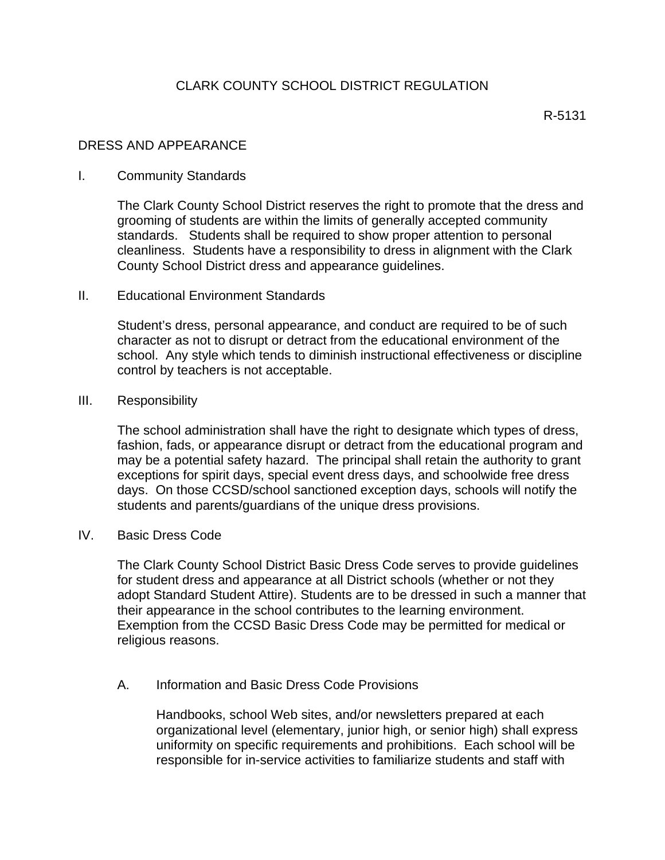# DRESS AND APPEARANCE

### I. Community Standards

The Clark County School District reserves the right to promote that the dress and grooming of students are within the limits of generally accepted community standards. Students shall be required to show proper attention to personal cleanliness. Students have a responsibility to dress in alignment with the Clark County School District dress and appearance guidelines.

### II. Educational Environment Standards

Student's dress, personal appearance, and conduct are required to be of such character as not to disrupt or detract from the educational environment of the school. Any style which tends to diminish instructional effectiveness or discipline control by teachers is not acceptable.

### III. Responsibility

The school administration shall have the right to designate which types of dress, fashion, fads, or appearance disrupt or detract from the educational program and may be a potential safety hazard. The principal shall retain the authority to grant exceptions for spirit days, special event dress days, and schoolwide free dress days. On those CCSD/school sanctioned exception days, schools will notify the students and parents/guardians of the unique dress provisions.

### IV. Basic Dress Code

The Clark County School District Basic Dress Code serves to provide guidelines for student dress and appearance at all District schools (whether or not they adopt Standard Student Attire). Students are to be dressed in such a manner that their appearance in the school contributes to the learning environment. Exemption from the CCSD Basic Dress Code may be permitted for medical or religious reasons.

## A. Information and Basic Dress Code Provisions

Handbooks, school Web sites, and/or newsletters prepared at each organizational level (elementary, junior high, or senior high) shall express uniformity on specific requirements and prohibitions. Each school will be responsible for in-service activities to familiarize students and staff with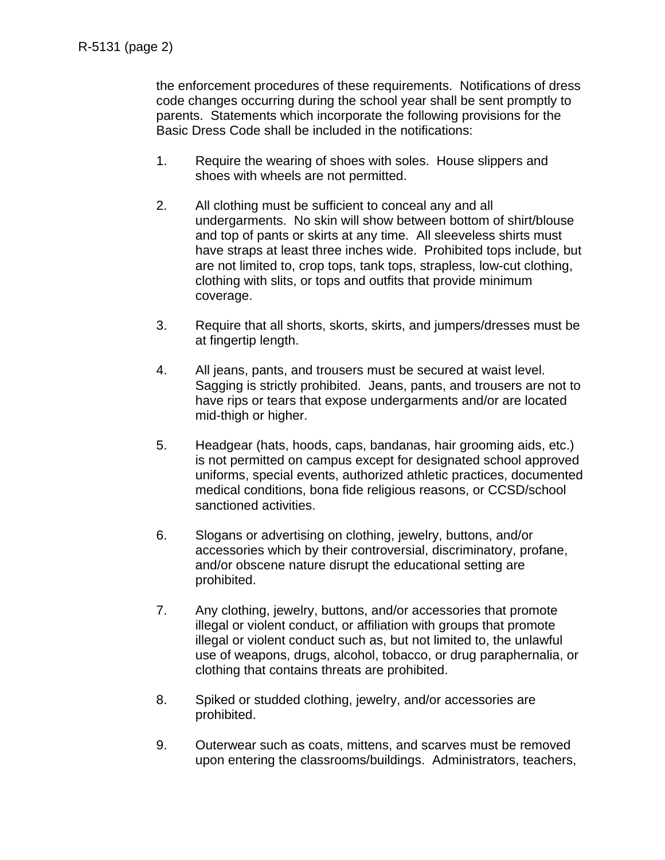the enforcement procedures of these requirements. Notifications of dress code changes occurring during the school year shall be sent promptly to parents. Statements which incorporate the following provisions for the Basic Dress Code shall be included in the notifications:

- 1. Require the wearing of shoes with soles. House slippers and shoes with wheels are not permitted.
- 2. All clothing must be sufficient to conceal any and all undergarments. No skin will show between bottom of shirt/blouse and top of pants or skirts at any time. All sleeveless shirts must have straps at least three inches wide. Prohibited tops include, but are not limited to, crop tops, tank tops, strapless, low-cut clothing, clothing with slits, or tops and outfits that provide minimum coverage.
- 3. Require that all shorts, skorts, skirts, and jumpers/dresses must be at fingertip length.
- 4. All jeans, pants, and trousers must be secured at waist level. Sagging is strictly prohibited. Jeans, pants, and trousers are not to have rips or tears that expose undergarments and/or are located mid-thigh or higher.
- 5. Headgear (hats, hoods, caps, bandanas, hair grooming aids, etc.) is not permitted on campus except for designated school approved uniforms, special events, authorized athletic practices, documented medical conditions, bona fide religious reasons, or CCSD/school sanctioned activities.
- 6. Slogans or advertising on clothing, jewelry, buttons, and/or accessories which by their controversial, discriminatory, profane, and/or obscene nature disrupt the educational setting are prohibited.
- 7. Any clothing, jewelry, buttons, and/or accessories that promote illegal or violent conduct, or affiliation with groups that promote illegal or violent conduct such as, but not limited to, the unlawful use of weapons, drugs, alcohol, tobacco, or drug paraphernalia, or clothing that contains threats are prohibited.
- 8. Spiked or studded clothing, jewelry, and/or accessories are prohibited.
- 9. Outerwear such as coats, mittens, and scarves must be removed upon entering the classrooms/buildings. Administrators, teachers,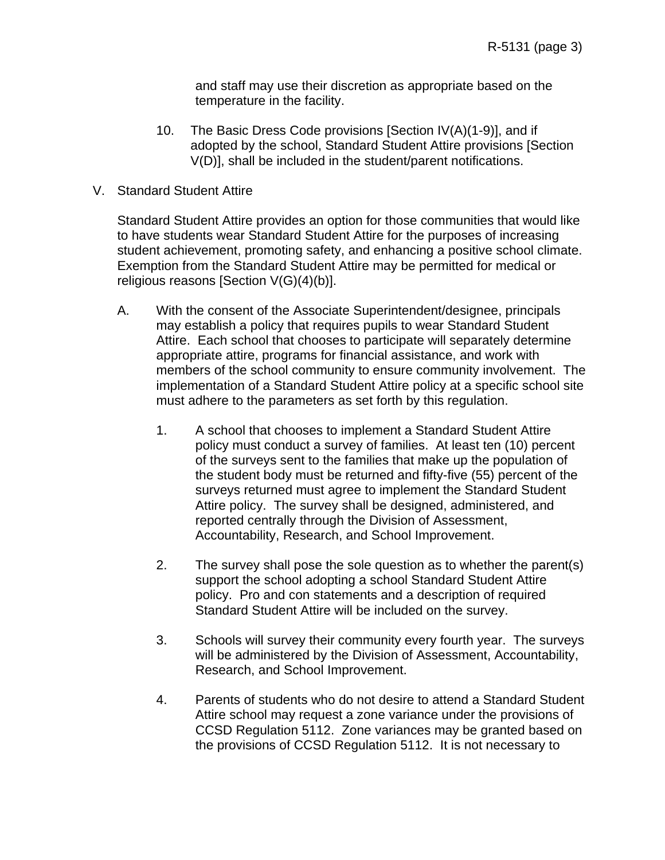and staff may use their discretion as appropriate based on the temperature in the facility.

- 10. The Basic Dress Code provisions [Section IV(A)(1-9)], and if adopted by the school, Standard Student Attire provisions [Section V(D)], shall be included in the student/parent notifications.
- V. Standard Student Attire

Standard Student Attire provides an option for those communities that would like to have students wear Standard Student Attire for the purposes of increasing student achievement, promoting safety, and enhancing a positive school climate. Exemption from the Standard Student Attire may be permitted for medical or religious reasons [Section V(G)(4)(b)].

- A. With the consent of the Associate Superintendent/designee, principals may establish a policy that requires pupils to wear Standard Student Attire. Each school that chooses to participate will separately determine appropriate attire, programs for financial assistance, and work with members of the school community to ensure community involvement. The implementation of a Standard Student Attire policy at a specific school site must adhere to the parameters as set forth by this regulation.
	- 1. A school that chooses to implement a Standard Student Attire policy must conduct a survey of families. At least ten (10) percent of the surveys sent to the families that make up the population of the student body must be returned and fifty-five (55) percent of the surveys returned must agree to implement the Standard Student Attire policy. The survey shall be designed, administered, and reported centrally through the Division of Assessment, Accountability, Research, and School Improvement.
	- 2. The survey shall pose the sole question as to whether the parent(s) support the school adopting a school Standard Student Attire policy. Pro and con statements and a description of required Standard Student Attire will be included on the survey.
	- 3. Schools will survey their community every fourth year. The surveys will be administered by the Division of Assessment, Accountability, Research, and School Improvement.
	- 4. Parents of students who do not desire to attend a Standard Student Attire school may request a zone variance under the provisions of CCSD Regulation 5112. Zone variances may be granted based on the provisions of CCSD Regulation 5112. It is not necessary to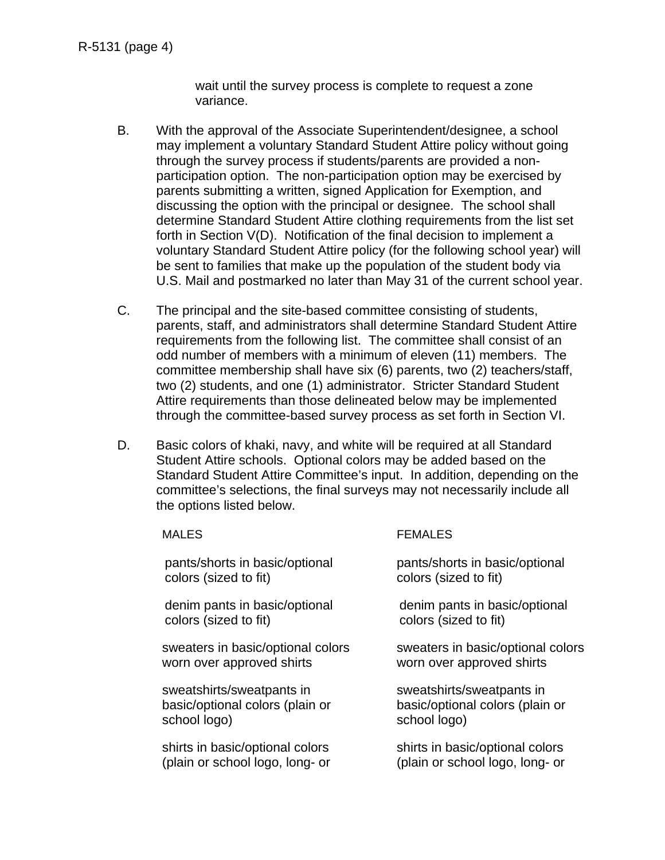wait until the survey process is complete to request a zone variance.

- B. With the approval of the Associate Superintendent/designee, a school may implement a voluntary Standard Student Attire policy without going through the survey process if students/parents are provided a nonparticipation option. The non-participation option may be exercised by parents submitting a written, signed Application for Exemption, and discussing the option with the principal or designee. The school shall determine Standard Student Attire clothing requirements from the list set forth in Section V(D). Notification of the final decision to implement a voluntary Standard Student Attire policy (for the following school year) will be sent to families that make up the population of the student body via U.S. Mail and postmarked no later than May 31 of the current school year.
- C. The principal and the site-based committee consisting of students, parents, staff, and administrators shall determine Standard Student Attire requirements from the following list. The committee shall consist of an odd number of members with a minimum of eleven (11) members. The committee membership shall have six (6) parents, two (2) teachers/staff, two (2) students, and one (1) administrator. Stricter Standard Student Attire requirements than those delineated below may be implemented through the committee-based survey process as set forth in Section VI.
- D. Basic colors of khaki, navy, and white will be required at all Standard Student Attire schools. Optional colors may be added based on the Standard Student Attire Committee's input. In addition, depending on the committee's selections, the final surveys may not necessarily include all the options listed below.

| <b>MALES</b>                      | <b>FEMALES</b>                    |
|-----------------------------------|-----------------------------------|
| pants/shorts in basic/optional    | pants/shorts in basic/optional    |
| colors (sized to fit)             | colors (sized to fit)             |
| denim pants in basic/optional     | denim pants in basic/optional     |
| colors (sized to fit)             | colors (sized to fit)             |
| sweaters in basic/optional colors | sweaters in basic/optional colors |
| worn over approved shirts         | worn over approved shirts         |
| sweatshirts/sweatpants in         | sweatshirts/sweatpants in         |
| basic/optional colors (plain or   | basic/optional colors (plain or   |
| school logo)                      | school logo)                      |
| shirts in basic/optional colors   | shirts in basic/optional colors   |
| (plain or school logo, long- or   | (plain or school logo, long- or   |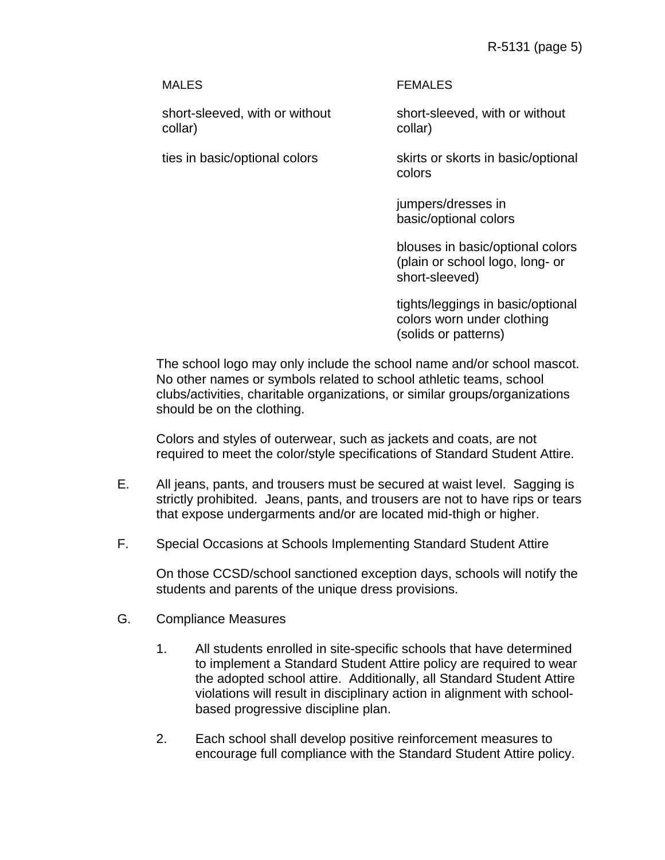R-5131 (page 5)

short-sleeved, with or without collar)

#### MALES FEMALES

short-sleeved, with or without collar)

ties in basic/optional colors skirts or skorts in basic/optional colors

> jumpers/dresses in basic/optional colors

blouses in basic/optional colors (plain or school logo, long- or short-sleeved)

tights/leggings in basic/optional colors worn under clothing (solids or patterns)

The school logo may only include the school name and/or school mascot. No other names or symbols related to school athletic teams, school clubs/activities, charitable organizations, or similar groups/organizations should be on the clothing.

Colors and styles of outerwear, such as jackets and coats, are not required to meet the color/style specifications of Standard Student Attire.

- E. All jeans, pants, and trousers must be secured at waist level. Sagging is strictly prohibited. Jeans, pants, and trousers are not to have rips or tears that expose undergarments and/or are located mid-thigh or higher.
- F. Special Occasions at Schools Implementing Standard Student Attire

On those CCSD/school sanctioned exception days, schools will notify the students and parents of the unique dress provisions.

- G. Compliance Measures
	- 1. All students enrolled in site-specific schools that have determined to implement a Standard Student Attire policy are required to wear the adopted school attire. Additionally, all Standard Student Attire violations will result in disciplinary action in alignment with schoolbased progressive discipline plan.
	- 2. Each school shall develop positive reinforcement measures to encourage full compliance with the Standard Student Attire policy.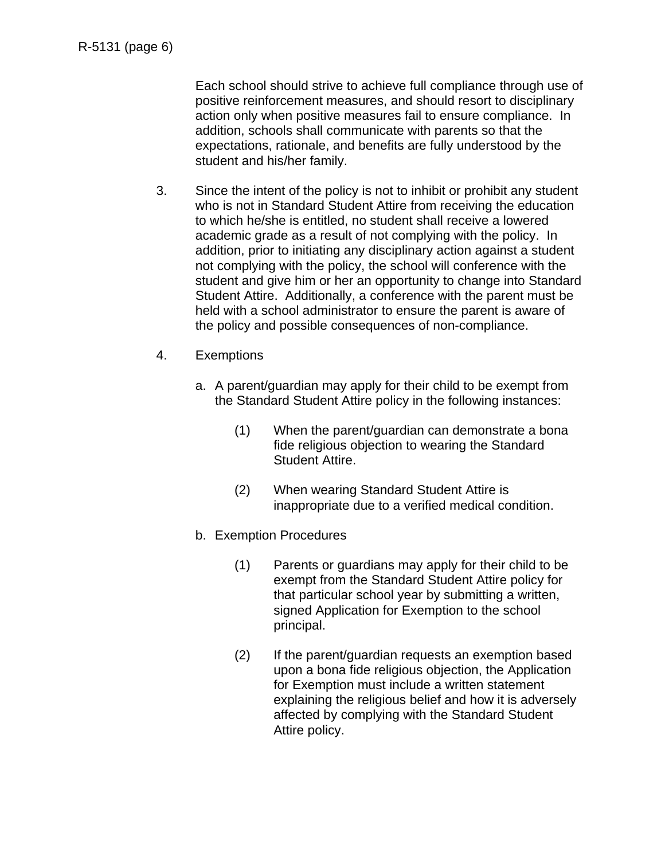Each school should strive to achieve full compliance through use of positive reinforcement measures, and should resort to disciplinary action only when positive measures fail to ensure compliance. In addition, schools shall communicate with parents so that the expectations, rationale, and benefits are fully understood by the student and his/her family.

- 3. Since the intent of the policy is not to inhibit or prohibit any student who is not in Standard Student Attire from receiving the education to which he/she is entitled, no student shall receive a lowered academic grade as a result of not complying with the policy. In addition, prior to initiating any disciplinary action against a student not complying with the policy, the school will conference with the student and give him or her an opportunity to change into Standard Student Attire. Additionally, a conference with the parent must be held with a school administrator to ensure the parent is aware of the policy and possible consequences of non-compliance.
- 4. Exemptions
	- a. A parent/guardian may apply for their child to be exempt from the Standard Student Attire policy in the following instances:
		- (1) When the parent/guardian can demonstrate a bona fide religious objection to wearing the Standard Student Attire.
		- (2) When wearing Standard Student Attire is inappropriate due to a verified medical condition.
	- b. Exemption Procedures
		- (1) Parents or guardians may apply for their child to be exempt from the Standard Student Attire policy for that particular school year by submitting a written, signed Application for Exemption to the school principal.
		- (2) If the parent/guardian requests an exemption based upon a bona fide religious objection, the Application for Exemption must include a written statement explaining the religious belief and how it is adversely affected by complying with the Standard Student Attire policy.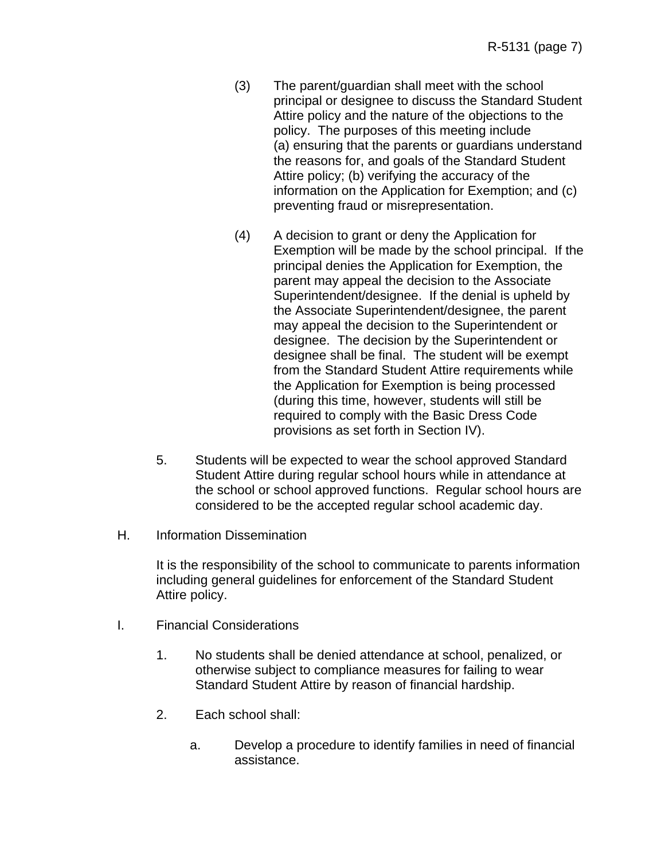- (3) The parent/guardian shall meet with the school principal or designee to discuss the Standard Student Attire policy and the nature of the objections to the policy. The purposes of this meeting include (a) ensuring that the parents or guardians understand the reasons for, and goals of the Standard Student Attire policy; (b) verifying the accuracy of the information on the Application for Exemption; and (c) preventing fraud or misrepresentation.
- (4) A decision to grant or deny the Application for Exemption will be made by the school principal. If the principal denies the Application for Exemption, the parent may appeal the decision to the Associate Superintendent/designee. If the denial is upheld by the Associate Superintendent/designee, the parent may appeal the decision to the Superintendent or designee. The decision by the Superintendent or designee shall be final. The student will be exempt from the Standard Student Attire requirements while the Application for Exemption is being processed (during this time, however, students will still be required to comply with the Basic Dress Code provisions as set forth in Section IV).
- 5. Students will be expected to wear the school approved Standard Student Attire during regular school hours while in attendance at the school or school approved functions. Regular school hours are considered to be the accepted regular school academic day.
- H. Information Dissemination

It is the responsibility of the school to communicate to parents information including general guidelines for enforcement of the Standard Student Attire policy.

- I. Financial Considerations
	- 1. No students shall be denied attendance at school, penalized, or otherwise subject to compliance measures for failing to wear Standard Student Attire by reason of financial hardship.
	- 2. Each school shall:
		- a. Develop a procedure to identify families in need of financial assistance.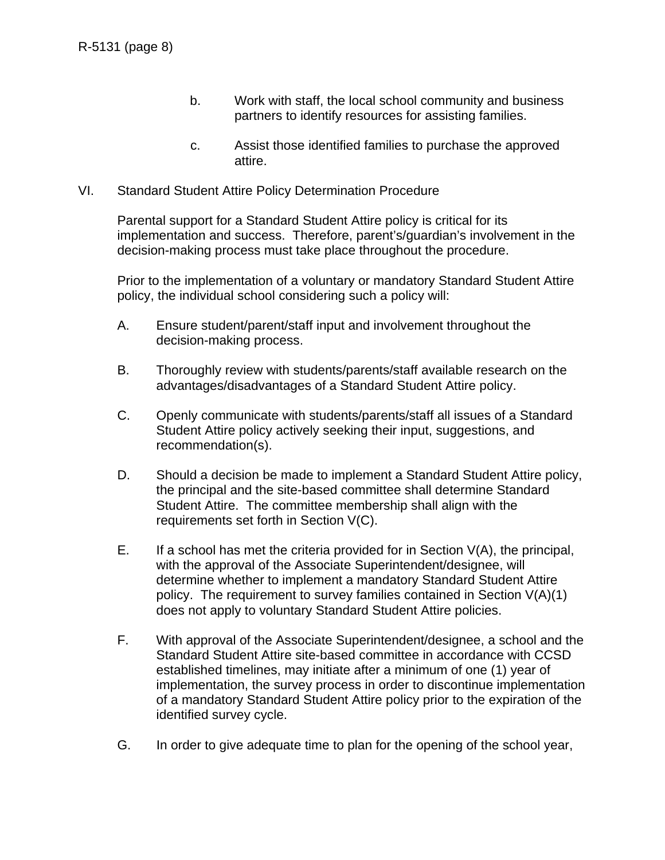- b. Work with staff, the local school community and business partners to identify resources for assisting families.
- c. Assist those identified families to purchase the approved attire.
- VI. Standard Student Attire Policy Determination Procedure

Parental support for a Standard Student Attire policy is critical for its implementation and success. Therefore, parent's/guardian's involvement in the decision-making process must take place throughout the procedure.

Prior to the implementation of a voluntary or mandatory Standard Student Attire policy, the individual school considering such a policy will:

- A. Ensure student/parent/staff input and involvement throughout the decision-making process.
- B. Thoroughly review with students/parents/staff available research on the advantages/disadvantages of a Standard Student Attire policy.
- C. Openly communicate with students/parents/staff all issues of a Standard Student Attire policy actively seeking their input, suggestions, and recommendation(s).
- D. Should a decision be made to implement a Standard Student Attire policy, the principal and the site-based committee shall determine Standard Student Attire. The committee membership shall align with the requirements set forth in Section V(C).
- E. If a school has met the criteria provided for in Section  $V(A)$ , the principal, with the approval of the Associate Superintendent/designee, will determine whether to implement a mandatory Standard Student Attire policy. The requirement to survey families contained in Section V(A)(1) does not apply to voluntary Standard Student Attire policies.
- F. With approval of the Associate Superintendent/designee, a school and the Standard Student Attire site-based committee in accordance with CCSD established timelines, may initiate after a minimum of one (1) year of implementation, the survey process in order to discontinue implementation of a mandatory Standard Student Attire policy prior to the expiration of the identified survey cycle.
- G. In order to give adequate time to plan for the opening of the school year,